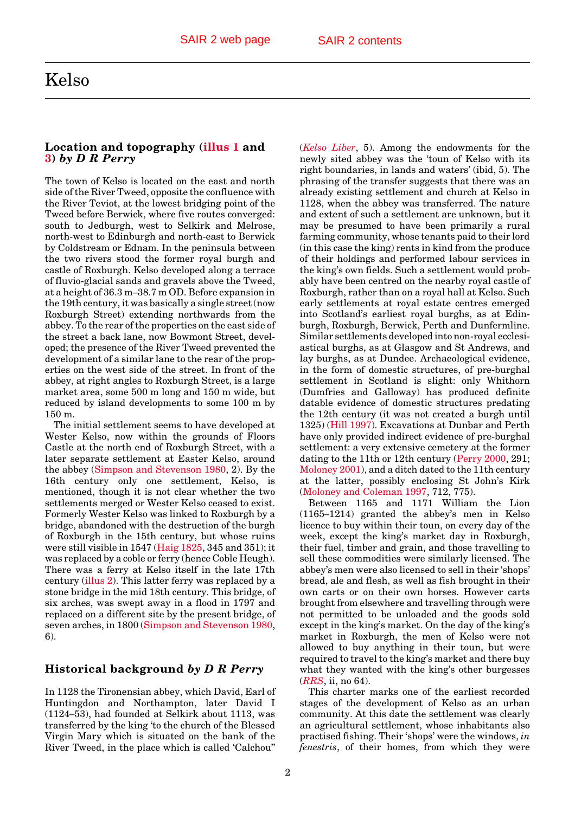## <span id="page-0-0"></span>Kelso

## **Location and topography [\(illus 1](#page-1-0) and 3)** *by D R Perry*

The town of Kelso is located on the east and north side of the River Tweed, opposite the confluence with the River Teviot, at the lowest bridging point of the Tweed before Berwick, where five routes converged: south to Jedburgh, west to Selkirk and Melrose, north-west to Edinburgh and north-east to Berwick by Coldstream or Ednam. In the peninsula between the two rivers stood the former royal burgh and castle of Roxburgh. Kelso developed along a terrace of fluvio-glacial sands and gravels above the Tweed, at a height of 36.3 m–38.7 m OD. Before expansion in the 19th century, it was basically a single street (now Roxburgh Street) extending northwards from the abbey. To the rear of the properties on the east side of the street a back lane, now Bowmont Street, developed; the presence of the River Tweed prevented the development of a similar lane to the rear of the properties on the west side of the street. In front of the abbey, at right angles to Roxburgh Street, is a large market area, some 500 m long and 150 m wide, but reduced by island developments to some 100 m by 150 m.

The initial settlement seems to have developed at Wester Kelso, now within the grounds of Floors Castle at the north end of Roxburgh Street, with a later separate settlement at Easter Kelso, around the abbey [\(Simpson and Stevenson 1980, 2](#page-2-0)). By the 16th century only one settlement, Kelso, is mentioned, though it is not clear whether the two settlements merged or Wester Kelso ceased to exist. Formerly Wester Kelso was linked to Roxburgh by a bridge, abandoned with the destruction of the burgh of Roxburgh in the 15th century, but whose ruins were still visible in 1547 [\(Haig 1825,](#page-1-0) 345 and 351); it was replaced by a coble or ferry (hence Coble Heugh). There was a ferry at Kelso itself in the late 17th centur[y \(illus 2\).](#page-2-0) This latter ferry was replaced by a stone bridge in the mid 18th century. This bridge, of six arches, was swept away in a flood in 1797 and replaced on a different site by the present bridge, of seven arches, in 180[0 \(Simpson and Stevenson 1980,](#page-2-0) 6).

## **Historical background** *by D R Perry*

In 1128 the Tironensian abbey, which David, Earl of Huntingdon and Northampton, later David I (1124–53), had founded at Selkirk about 1113, was transferred by the king 'to the church of the Blessed Virgin Mary which is situated on the bank of the River Tweed, in the place which is called 'Calchou''

(*[Kelso Liber](#page-1-0)*, 5). Among the endowments for the newly sited abbey was the 'toun of Kelso with its right boundaries, in lands and waters' (ibid, 5). The phrasing of the transfer suggests that there was an already existing settlement and church at Kelso in 1128, when the abbey was transferred. The nature and extent of such a settlement are unknown, but it may be presumed to have been primarily a rural farming community, whose tenants paid to their lord (in this case the king) rents in kind from the produce of their holdings and performed labour services in the king's own fields. Such a settlement would probably have been centred on the nearby royal castle of Roxburgh, rather than on a royal hall at Kelso. Such early settlements at royal estate centres emerged into Scotland's earliest royal burghs, as at Edinburgh, Roxburgh, Berwick, Perth and Dunfermline. Similar settlements developed into non-royal ecclesiastical burghs, as at Glasgow and St Andrews, and lay burghs, as at Dundee. Archaeological evidence, in the form of domestic structures, of pre-burghal settlement in Scotland is slight: only Whithorn (Dumfries and Galloway) has produced definite datable evidence of domestic structures predating the 12th century (it was not created a burgh until 1325) [\(Hill 1997\).](#page-1-0) Excavations at Dunbar and Perth have only provided indirect evidence of pre-burghal settlement: a very extensive cemetery at the former dating to the 11th or 12th centur[y \(Perry 2000, 2](#page-2-0)91; [Moloney 2001\),](#page-1-0) and a ditch dated to the 11th century at the latter, possibly enclosing St John's Kirk [\(Moloney and Coleman 1997, 7](#page-2-0)12, 775).

Between 1165 and 1171 William the Lion (1165–1214) granted the abbey's men in Kelso licence to buy within their toun, on every day of the week, except the king's market day in Roxburgh, their fuel, timber and grain, and those travelling to sell these commodities were similarly licensed. The abbey's men were also licensed to sell in their 'shops' bread, ale and flesh, as well as fish brought in their own carts or on their own horses. However carts brought from elsewhere and travelling through were not permitted to be unloaded and the goods sold except in the king's market. On the day of the king's market in Roxburgh, the men of Kelso were not allowed to buy anything in their toun, but were required to travel to the king's market and there buy what they wanted with the king's other burgesses (*[RRS](#page-2-0)*, ii, no 64).

This charter marks one of the earliest recorded stages of the development of Kelso as an urban community. At this date the settlement was clearly an agricultural settlement, whose inhabitants also practised fishing. Their 'shops' were the windows, *in fenestris*, of their homes, from which they were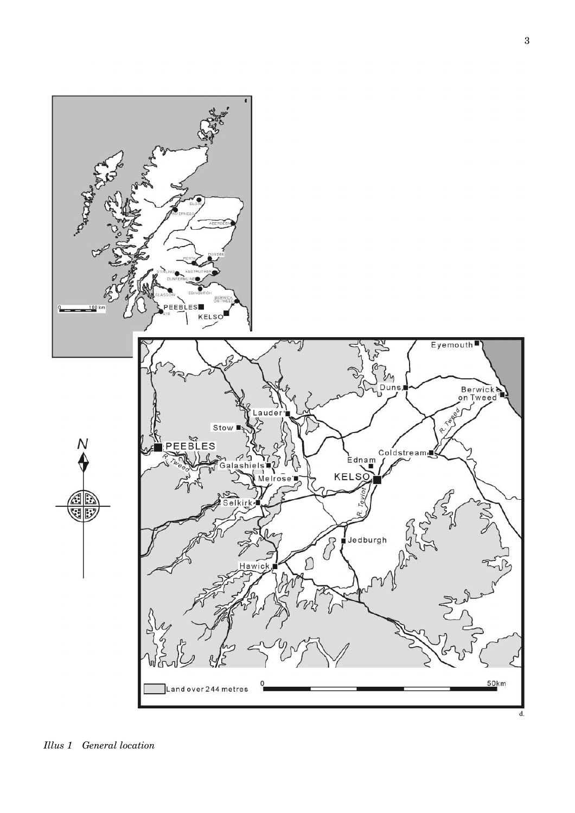<span id="page-1-0"></span>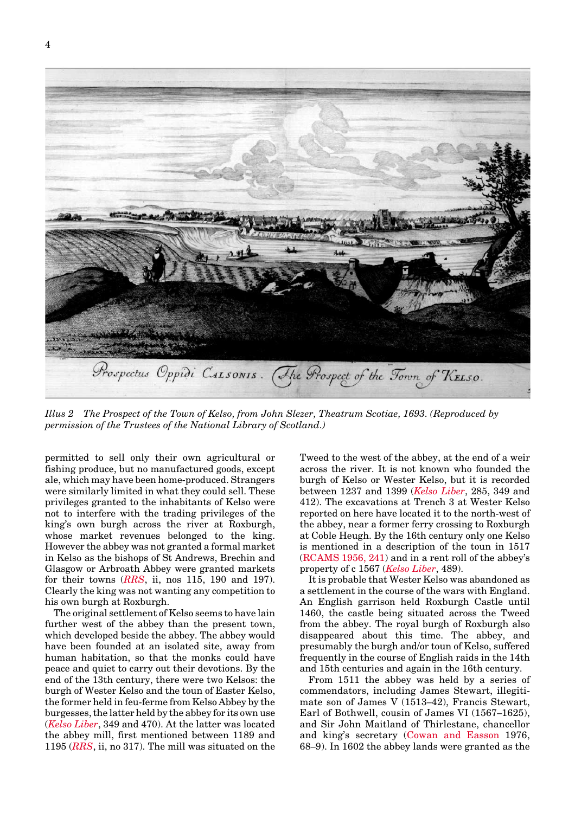<span id="page-2-0"></span>

*Illus 2 The Prospect of the Town of Kelso, from John Slezer, Theatrum Scotiae, 1693. (Reproduced by permission of the Trustees of the National Library of Scotland.)*

permitted to sell only their own agricultural or fishing produce, but no manufactured goods, except ale, which may have been home-produced. Strangers were similarly limited in what they could sell. These privileges granted to the inhabitants of Kelso were not to interfere with the trading privileges of the king's own burgh across the river at Roxburgh, whose market revenues belonged to the king. However the abbey was not granted a formal market in Kelso as the bishops of St Andrews, Brechin and Glasgow or Arbroath Abbey were granted markets for their towns (*RRS*, ii, nos 115, 190 and 197). Clearly the king was not wanting any competition to his own burgh at Roxburgh.

The original settlement of Kelso seems to have lain further west of the abbey than the present town, which developed beside the abbey. The abbey would have been founded at an isolated site, away from human habitation, so that the monks could have peace and quiet to carry out their devotions. By the end of the 13th century, there were two Kelsos: the burgh of Wester Kelso and the toun of Easter Kelso, the former held in feu-ferme from Kelso Abbey by the burgesses, the latter held by the abbey for its own use (*[Kelso Liber](#page-1-0)*, 349 and 470). At the latter was located the abbey mill, first mentioned between 1189 and 1195 (*RRS*, ii, no 317). The mill was situated on the Tweed to the west of the abbey, at the end of a weir across the river. It is not known who founded the burgh of Kelso or Wester Kelso, but it is recorded between 1237 and 1399 (*[Kelso Liber](#page-1-0)*, 285, 349 and 412). The excavations at Trench 3 at Wester Kelso reported on here have located it to the north-west of the abbey, near a former ferry crossing to Roxburgh at Coble Heugh. By the 16th century only one Kelso is mentioned in a description of the toun in 1517 (RCAMS 1956, 241) and in a rent roll of the abbey's property of c 1567 (*[Kelso Liber](#page-1-0)*, 489).

It is probable that Wester Kelso was abandoned as a settlement in the course of the wars with England. An English garrison held Roxburgh Castle until 1460, the castle being situated across the Tweed from the abbey. The royal burgh of Roxburgh also disappeared about this time. The abbey, and presumably the burgh and/or toun of Kelso, suffered frequently in the course of English raids in the 14th and 15th centuries and again in the 16th century.

From 1511 the abbey was held by a series of commendators, including James Stewart, illegitimate son of James V (1513–42), Francis Stewart, Earl of Bothwell, cousin of James VI (1567–1625), and Sir John Maitland of Thirlestane, chancellor and king's secretary [\(Cowan and Easson](#page-0-0) 1976, 68–9). In 1602 the abbey lands were granted as the